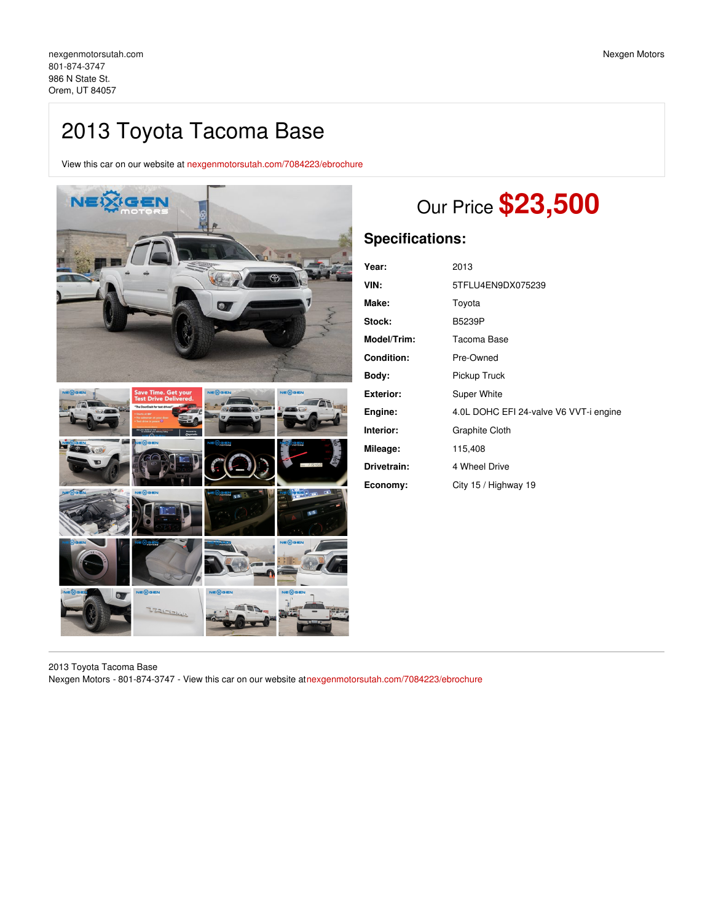## 2013 Toyota Tacoma Base

View this car on our website at [nexgenmotorsutah.com/7084223/ebrochure](https://nexgenmotorsutah.com/vehicle/7084223/2013-toyota-tacoma-base-orem-ut-84057/7084223/ebrochure)



# Our Price **\$23,500**

## **Specifications:**

| Year:             | 2013                                   |
|-------------------|----------------------------------------|
| VIN:              | 5TFLU4EN9DX075239                      |
| Make:             | Toyota                                 |
| Stock:            | B5239P                                 |
| Model/Trim:       | Tacoma Base                            |
| <b>Condition:</b> | Pre-Owned                              |
| Body:             | Pickup Truck                           |
| <b>Exterior:</b>  | Super White                            |
| Engine:           | 4.0L DOHC EFI 24-valve V6 VVT-i engine |
| Interior:         | Graphite Cloth                         |
| Mileage:          | 115,408                                |
| Drivetrain:       | 4 Wheel Drive                          |
| Economy:          | City 15 / Highway 19                   |

2013 Toyota Tacoma Base Nexgen Motors - 801-874-3747 - View this car on our website at[nexgenmotorsutah.com/7084223/ebrochure](https://nexgenmotorsutah.com/vehicle/7084223/2013-toyota-tacoma-base-orem-ut-84057/7084223/ebrochure)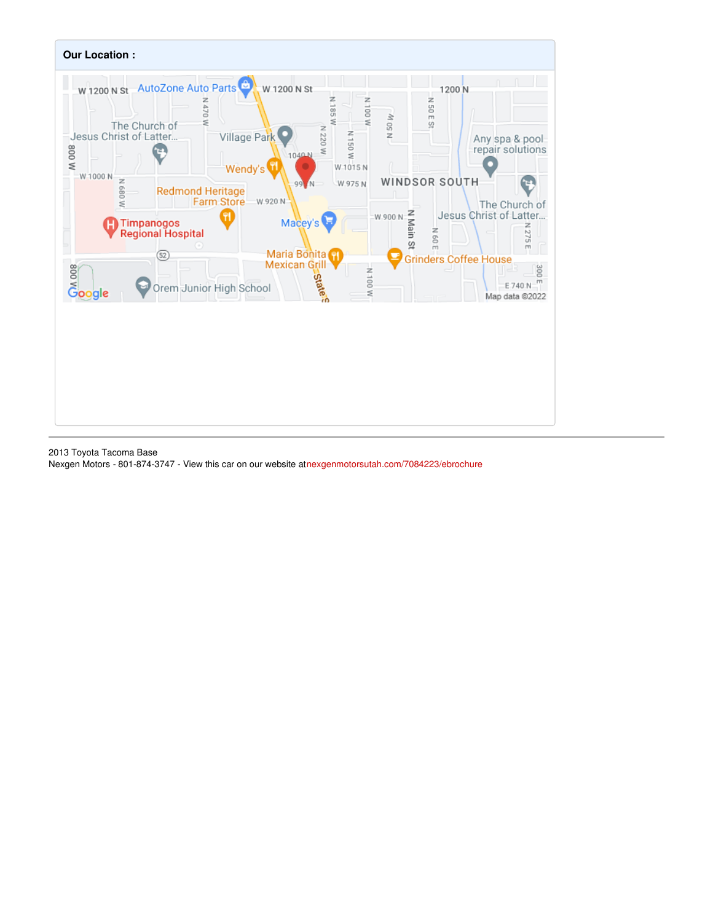

2013 Toyota Tacoma Base Nexgen Motors - 801-874-3747 - View this car on our website at[nexgenmotorsutah.com/7084223/ebrochure](https://nexgenmotorsutah.com/vehicle/7084223/2013-toyota-tacoma-base-orem-ut-84057/7084223/ebrochure)